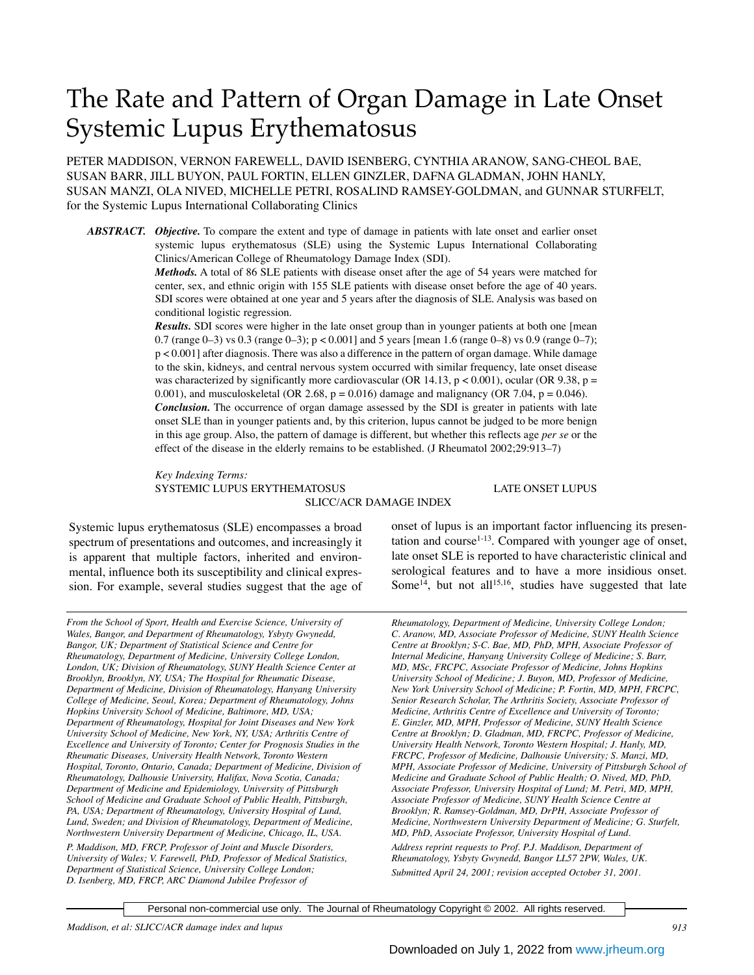# The Rate and Pattern of Organ Damage in Late Onset Systemic Lupus Erythematosus

PETER MADDISON, VERNON FAREWELL, DAVID ISENBERG, CYNTHIA ARANOW, SANG-CHEOL BAE, SUSAN BARR, JILL BUYON, PAUL FORTIN, ELLEN GINZLER, DAFNA GLADMAN, JOHN HANLY, SUSAN MANZI, OLA NIVED, MICHELLE PETRI, ROSALIND RAMSEY-GOLDMAN, and GUNNAR STURFELT, for the Systemic Lupus International Collaborating Clinics

*ABSTRACT. Objective.* To compare the extent and type of damage in patients with late onset and earlier onset systemic lupus erythematosus (SLE) using the Systemic Lupus International Collaborating Clinics/American College of Rheumatology Damage Index (SDI).

> *Methods.* A total of 86 SLE patients with disease onset after the age of 54 years were matched for center, sex, and ethnic origin with 155 SLE patients with disease onset before the age of 40 years. SDI scores were obtained at one year and 5 years after the diagnosis of SLE. Analysis was based on conditional logistic regression.

> *Results.* SDI scores were higher in the late onset group than in younger patients at both one [mean 0.7 (range 0–3) vs 0.3 (range 0–3); p < 0.001] and 5 years [mean 1.6 (range 0–8) vs 0.9 (range 0–7); p < 0.001] after diagnosis. There was also a difference in the pattern of organ damage. While damage to the skin, kidneys, and central nervous system occurred with similar frequency, late onset disease was characterized by significantly more cardiovascular (OR 14.13,  $p < 0.001$ ), ocular (OR 9.38,  $p =$ 0.001), and musculoskeletal (OR 2.68,  $p = 0.016$ ) damage and malignancy (OR 7.04,  $p = 0.046$ ). *Conclusion.* The occurrence of organ damage assessed by the SDI is greater in patients with late onset SLE than in younger patients and, by this criterion, lupus cannot be judged to be more benign in this age group. Also, the pattern of damage is different, but whether this reflects age *per se* or the effect of the disease in the elderly remains to be established. (J Rheumatol 2002;29:913–7)

> *Key Indexing Terms:* SYSTEMIC LUPUS ERYTHEMATOSUS LATE ONSET LUPUS

SLICC/ACR DAMAGE INDEX

Systemic lupus erythematosus (SLE) encompasses a broad spectrum of presentations and outcomes, and increasingly it is apparent that multiple factors, inherited and environmental, influence both its susceptibility and clinical expression. For example, several studies suggest that the age of

*From the School of Sport, Health and Exercise Science, University of Wales, Bangor, and Department of Rheumatology, Ysbyty Gwynedd, Bangor, UK; Department of Statistical Science and Centre for Rheumatology, Department of Medicine, University College London, London, UK; Division of Rheumatology, SUNY Health Science Center at Brooklyn, Brooklyn, NY, USA; The Hospital for Rheumatic Disease, Department of Medicine, Division of Rheumatology, Hanyang University College of Medicine, Seoul, Korea; Department of Rheumatology, Johns Hopkins University School of Medicine, Baltimore, MD, USA; Department of Rheumatology, Hospital for Joint Diseases and New York University School of Medicine, New York, NY, USA; Arthritis Centre of Excellence and University of Toronto; Center for Prognosis Studies in the Rheumatic Diseases, University Health Network, Toronto Western Hospital, Toronto, Ontario, Canada; Department of Medicine, Division of Rheumatology, Dalhousie University, Halifax, Nova Scotia, Canada; Department of Medicine and Epidemiology, University of Pittsburgh School of Medicine and Graduate School of Public Health, Pittsburgh, PA, USA; Department of Rheumatology, University Hospital of Lund, Lund, Sweden; and Division of Rheumatology, Department of Medicine, Northwestern University Department of Medicine, Chicago, IL, USA. P. Maddison, MD, FRCP, Professor of Joint and Muscle Disorders, University of Wales; V. Farewell, PhD, Professor of Medical Statistics,*

*Department of Statistical Science, University College London; D. Isenberg, MD, FRCP, ARC Diamond Jubilee Professor of*

onset of lupus is an important factor influencing its presentation and course $1-13$ . Compared with younger age of onset, late onset SLE is reported to have characteristic clinical and serological features and to have a more insidious onset. Some<sup>14</sup>, but not all<sup>15,16</sup>, studies have suggested that late

*Rheumatology, Department of Medicine, University College London; C. Aranow, MD, Associate Professor of Medicine, SUNY Health Science Centre at Brooklyn; S-C. Bae, MD, PhD, MPH, Associate Professor of Internal Medicine, Hanyang University College of Medicine; S. Barr, MD, MSc, FRCPC, Associate Professor of Medicine, Johns Hopkins University School of Medicine; J. Buyon, MD, Professor of Medicine, New York University School of Medicine; P. Fortin, MD, MPH, FRCPC, Senior Research Scholar, The Arthritis Society, Associate Professor of Medicine, Arthritis Centre of Excellence and University of Toronto; E. Ginzler, MD, MPH, Professor of Medicine, SUNY Health Science Centre at Brooklyn; D. Gladman, MD, FRCPC, Professor of Medicine, University Health Network, Toronto Western Hospital; J. Hanly, MD, FRCPC, Professor of Medicine, Dalhousie University; S. Manzi, MD, MPH, Associate Professor of Medicine, University of Pittsburgh School of Medicine and Graduate School of Public Health; O. Nived, MD, PhD, Associate Professor, University Hospital of Lund; M. Petri, MD, MPH, Associate Professor of Medicine, SUNY Health Science Centre at Brooklyn; R. Ramsey-Goldman, MD, DrPH, Associate Professor of Medicine, Northwestern University Department of Medicine; G. Sturfelt, MD, PhD, Associate Professor, University Hospital of Lund. Address reprint requests to Prof. P.J. Maddison, Department of Rheumatology, Ysbyty Gwynedd, Bangor LL57 2PW, Wales, UK. Submitted April 24, 2001; revision accepted October 31, 2001.*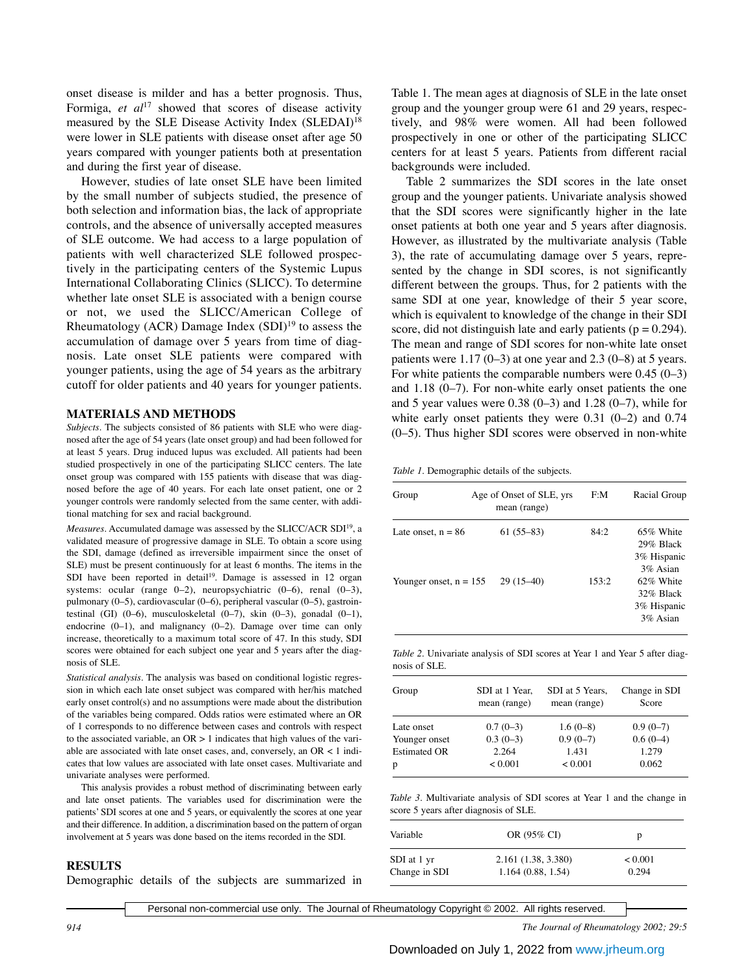onset disease is milder and has a better prognosis. Thus, Formiga, *et al*<sup>17</sup> showed that scores of disease activity measured by the SLE Disease Activity Index (SLEDAI)<sup>18</sup> were lower in SLE patients with disease onset after age 50 years compared with younger patients both at presentation and during the first year of disease.

However, studies of late onset SLE have been limited by the small number of subjects studied, the presence of both selection and information bias, the lack of appropriate controls, and the absence of universally accepted measures of SLE outcome. We had access to a large population of patients with well characterized SLE followed prospectively in the participating centers of the Systemic Lupus International Collaborating Clinics (SLICC). To determine whether late onset SLE is associated with a benign course or not, we used the SLICC/American College of Rheumatology (ACR) Damage Index (SDI)19 to assess the accumulation of damage over 5 years from time of diagnosis. Late onset SLE patients were compared with younger patients, using the age of 54 years as the arbitrary cutoff for older patients and 40 years for younger patients.

# **MATERIALS AND METHODS**

*Subjects.* The subjects consisted of 86 patients with SLE who were diagnosed after the age of 54 years (late onset group) and had been followed for at least 5 years. Drug induced lupus was excluded. All patients had been studied prospectively in one of the participating SLICC centers. The late onset group was compared with 155 patients with disease that was diagnosed before the age of 40 years. For each late onset patient, one or 2 younger controls were randomly selected from the same center, with additional matching for sex and racial background.

*Measures.* Accumulated damage was assessed by the SLICC/ACR SDI19, a validated measure of progressive damage in SLE. To obtain a score using the SDI, damage (defined as irreversible impairment since the onset of SLE) must be present continuously for at least 6 months. The items in the SDI have been reported in detail<sup>19</sup>. Damage is assessed in 12 organ systems: ocular (range 0–2), neuropsychiatric (0–6), renal (0–3), pulmonary (0–5), cardiovascular (0–6), peripheral vascular (0–5), gastrointestinal (GI) (0–6), musculoskeletal (0–7), skin (0–3), gonadal (0–1), endocrine  $(0-1)$ , and malignancy  $(0-2)$ . Damage over time can only increase, theoretically to a maximum total score of 47. In this study, SDI scores were obtained for each subject one year and 5 years after the diagnosis of SLE.

*Statistical analysis.* The analysis was based on conditional logistic regression in which each late onset subject was compared with her/his matched early onset control(s) and no assumptions were made about the distribution of the variables being compared. Odds ratios were estimated where an OR of 1 corresponds to no difference between cases and controls with respect to the associated variable, an  $OR > 1$  indicates that high values of the variable are associated with late onset cases, and, conversely, an  $OR < 1$  indicates that low values are associated with late onset cases. Multivariate and univariate analyses were performed.

This analysis provides a robust method of discriminating between early and late onset patients. The variables used for discrimination were the patients' SDI scores at one and 5 years, or equivalently the scores at one year and their difference. In addition, a discrimination based on the pattern of organ involvement at 5 years was done based on the items recorded in the SDI.

### **RESULTS**

Demographic details of the subjects are summarized in

Table 1. The mean ages at diagnosis of SLE in the late onset group and the younger group were 61 and 29 years, respectively, and 98% were women. All had been followed prospectively in one or other of the participating SLICC centers for at least 5 years. Patients from different racial backgrounds were included.

Table 2 summarizes the SDI scores in the late onset group and the younger patients. Univariate analysis showed that the SDI scores were significantly higher in the late onset patients at both one year and 5 years after diagnosis. However, as illustrated by the multivariate analysis (Table 3), the rate of accumulating damage over 5 years, represented by the change in SDI scores, is not significantly different between the groups. Thus, for 2 patients with the same SDI at one year, knowledge of their 5 year score, which is equivalent to knowledge of the change in their SDI score, did not distinguish late and early patients ( $p = 0.294$ ). The mean and range of SDI scores for non-white late onset patients were  $1.17(0-3)$  at one year and  $2.3(0-8)$  at 5 years. For white patients the comparable numbers were  $0.45$  (0–3) and 1.18 (0–7). For non-white early onset patients the one and 5 year values were  $0.38(0-3)$  and  $1.28(0-7)$ , while for white early onset patients they were 0.31 (0–2) and 0.74 (0–5). Thus higher SDI scores were observed in non-white

*Table 1.* Demographic details of the subjects.

| Group                    | Age of Onset of SLE, yrs<br>mean (range) | F:M   | Racial Group                                         |
|--------------------------|------------------------------------------|-------|------------------------------------------------------|
| Late onset, $n = 86$     | $61(55-83)$                              | 84:2  | 65% White<br>$29\%$ Black<br>3% Hispanic<br>3% Asian |
| Younger onset, $n = 155$ | $29(15-40)$                              | 153:2 | 62% White<br>32% Black<br>3% Hispanic<br>3% Asian    |

*Table 2.* Univariate analysis of SDI scores at Year 1 and Year 5 after diagnosis of SLE.

| Group               | SDI at 1 Year,<br>mean (range) | SDI at 5 Years,<br>mean (range) | Change in SDI<br>Score |
|---------------------|--------------------------------|---------------------------------|------------------------|
| Late onset          | $0.7(0-3)$                     | $1.6(0-8)$                      | $0.9(0-7)$             |
| Younger onset       | $0.3(0-3)$                     | $0.9(0-7)$                      | $0.6(0-4)$             |
| <b>Estimated OR</b> | 2.264                          | 1.431                           | 1.279                  |
| p                   | < 0.001                        | < 0.001                         | 0.062                  |

*Table 3.* Multivariate analysis of SDI scores at Year 1 and the change in score 5 years after diagnosis of SLE.

| Variable      | OR (95% CI)         | р              |
|---------------|---------------------|----------------|
| SDI at 1 yr   | 2.161 (1.38, 3.380) | ${}_{< 0.001}$ |
| Change in SDI | 1.164(0.88, 1.54)   | 0.294          |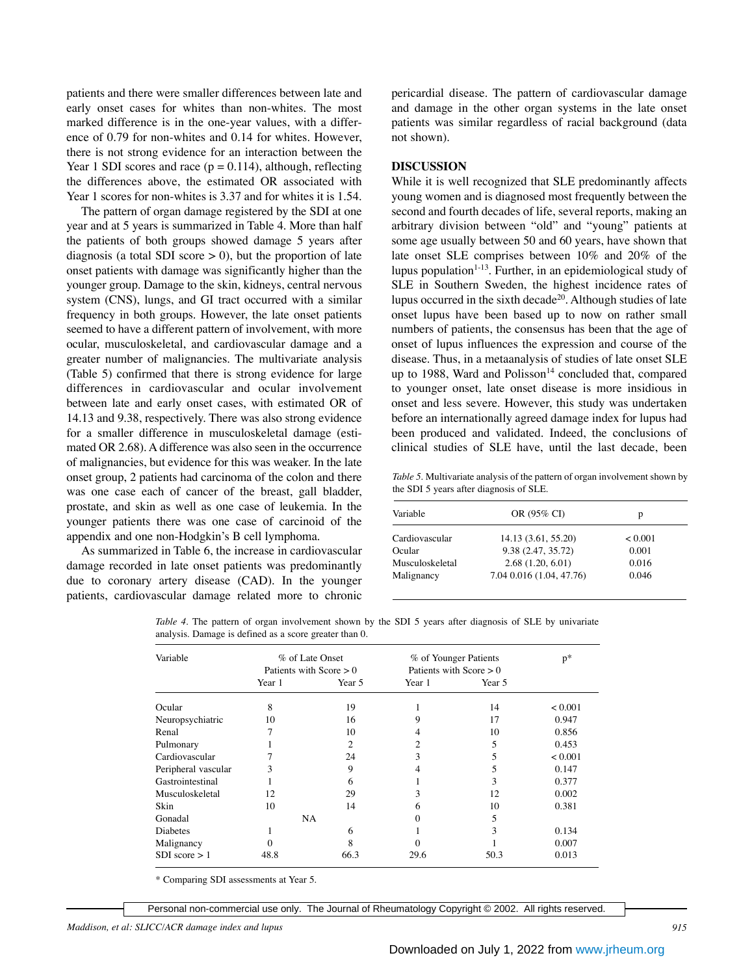patients and there were smaller differences between late and early onset cases for whites than non-whites. The most marked difference is in the one-year values, with a difference of 0.79 for non-whites and 0.14 for whites. However, there is not strong evidence for an interaction between the Year 1 SDI scores and race ( $p = 0.114$ ), although, reflecting the differences above, the estimated OR associated with Year 1 scores for non-whites is 3.37 and for whites it is 1.54.

The pattern of organ damage registered by the SDI at one year and at 5 years is summarized in Table 4. More than half the patients of both groups showed damage 5 years after diagnosis (a total SDI score  $> 0$ ), but the proportion of late onset patients with damage was significantly higher than the younger group. Damage to the skin, kidneys, central nervous system (CNS), lungs, and GI tract occurred with a similar frequency in both groups. However, the late onset patients seemed to have a different pattern of involvement, with more ocular, musculoskeletal, and cardiovascular damage and a greater number of malignancies. The multivariate analysis (Table 5) confirmed that there is strong evidence for large differences in cardiovascular and ocular involvement between late and early onset cases, with estimated OR of 14.13 and 9.38, respectively. There was also strong evidence for a smaller difference in musculoskeletal damage (estimated OR 2.68). A difference was also seen in the occurrence of malignancies, but evidence for this was weaker. In the late onset group, 2 patients had carcinoma of the colon and there was one case each of cancer of the breast, gall bladder, prostate, and skin as well as one case of leukemia. In the younger patients there was one case of carcinoid of the appendix and one non-Hodgkin's B cell lymphoma.

As summarized in Table 6, the increase in cardiovascular damage recorded in late onset patients was predominantly due to coronary artery disease (CAD). In the younger patients, cardiovascular damage related more to chronic

pericardial disease. The pattern of cardiovascular damage and damage in the other organ systems in the late onset patients was similar regardless of racial background (data not shown).

## **DISCUSSION**

While it is well recognized that SLE predominantly affects young women and is diagnosed most frequently between the second and fourth decades of life, several reports, making an arbitrary division between "old" and "young" patients at some age usually between 50 and 60 years, have shown that late onset SLE comprises between 10% and 20% of the lupus population $1-13$ . Further, in an epidemiological study of SLE in Southern Sweden, the highest incidence rates of lupus occurred in the sixth decade<sup>20</sup>. Although studies of late onset lupus have been based up to now on rather small numbers of patients, the consensus has been that the age of onset of lupus influences the expression and course of the disease. Thus, in a metaanalysis of studies of late onset SLE up to 1988, Ward and Polisson $14$  concluded that, compared to younger onset, late onset disease is more insidious in onset and less severe. However, this study was undertaken before an internationally agreed damage index for lupus had been produced and validated. Indeed, the conclusions of clinical studies of SLE have, until the last decade, been

*Table 5.* Multivariate analysis of the pattern of organ involvement shown by the SDI 5 years after diagnosis of SLE.

| Variable        | OR (95% CI)              | p       |  |
|-----------------|--------------------------|---------|--|
| Cardiovascular  | 14.13 (3.61, 55.20)      | < 0.001 |  |
| Ocular          | 9.38 (2.47, 35.72)       | 0.001   |  |
| Musculoskeletal | 2.68(1.20, 6.01)         | 0.016   |  |
| Malignancy      | 7.04 0.016 (1.04, 47.76) | 0.046   |  |

*Table 4.* The pattern of organ involvement shown by the SDI 5 years after diagnosis of SLE by univariate analysis. Damage is defined as a score greater than 0.

| Variable            | % of Late Onset<br>Patients with Score $> 0$ |                             | % of Younger Patients<br>Patients with Score $> 0$ |        | $p^*$   |
|---------------------|----------------------------------------------|-----------------------------|----------------------------------------------------|--------|---------|
|                     |                                              |                             |                                                    |        |         |
|                     | Year 1                                       | Year 5                      | Year 1                                             | Year 5 |         |
| Ocular              | 8                                            | 19                          |                                                    | 14     | < 0.001 |
| Neuropsychiatric    | 10                                           | 16                          | 9                                                  | 17     | 0.947   |
| Renal               |                                              | 10                          | 4                                                  | 10     | 0.856   |
| Pulmonary           |                                              | $\mathcal{D}_{\mathcal{L}}$ | 2                                                  | 5      | 0.453   |
| Cardiovascular      |                                              | 24                          | 3                                                  |        | < 0.001 |
| Peripheral vascular |                                              | 9                           | 4                                                  |        | 0.147   |
| Gastrointestinal    |                                              | 6                           |                                                    | 3      | 0.377   |
| Musculoskeletal     | 12                                           | 29                          | 3                                                  | 12     | 0.002   |
| <b>Skin</b>         | 10                                           | 14                          | 6                                                  | 10     | 0.381   |
| Gonadal             | NA.                                          |                             | 0                                                  | 5      |         |
| <b>Diabetes</b>     |                                              | 6                           |                                                    | 3      | 0.134   |
| Malignancy          |                                              | 8                           | 0                                                  |        | 0.007   |
| SDI score > 1       | 48.8                                         | 66.3                        | 29.6                                               | 50.3   | 0.013   |

\* Comparing SDI assessments at Year 5.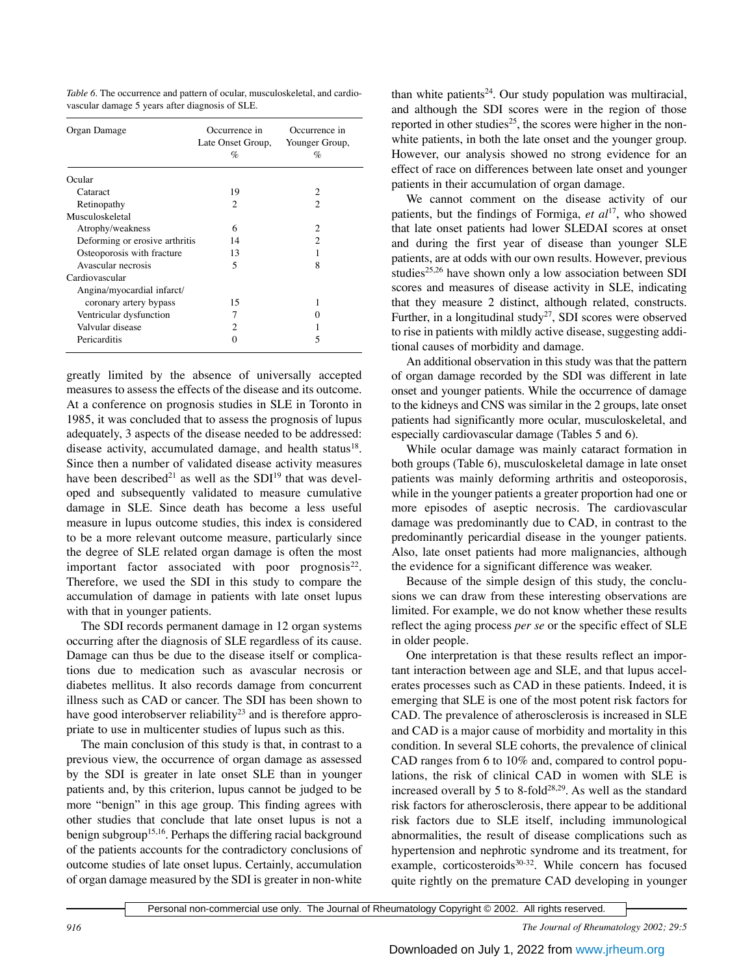*Table 6.* The occurrence and pattern of ocular, musculoskeletal, and cardiovascular damage 5 years after diagnosis of SLE.

| Organ Damage                   | Occurrence in<br>Late Onset Group,<br>$\%$ | Occurrence in<br>Younger Group,<br>% |
|--------------------------------|--------------------------------------------|--------------------------------------|
| Ocular                         |                                            |                                      |
| Cataract                       | 19                                         | 2                                    |
| Retinopathy                    | $\mathfrak{D}$                             | 2                                    |
| Musculoskeletal                |                                            |                                      |
| Atrophy/weakness               | 6                                          | 2                                    |
| Deforming or erosive arthritis | 14                                         | $\mathfrak{D}$                       |
| Osteoporosis with fracture     | 13                                         |                                      |
| Avascular necrosis             | $\overline{\phantom{0}}$                   | 8                                    |
| Cardiovascular                 |                                            |                                      |
| Angina/myocardial infarct/     |                                            |                                      |
| coronary artery bypass         | 15                                         |                                      |
| Ventricular dysfunction        | 7                                          |                                      |
| Valvular disease               | $\mathfrak{D}$                             |                                      |
| Pericarditis                   | 0                                          | 5                                    |

greatly limited by the absence of universally accepted measures to assess the effects of the disease and its outcome. At a conference on prognosis studies in SLE in Toronto in 1985, it was concluded that to assess the prognosis of lupus adequately, 3 aspects of the disease needed to be addressed: disease activity, accumulated damage, and health status<sup>18</sup>. Since then a number of validated disease activity measures have been described<sup>21</sup> as well as the SDI<sup>19</sup> that was developed and subsequently validated to measure cumulative damage in SLE. Since death has become a less useful measure in lupus outcome studies, this index is considered to be a more relevant outcome measure, particularly since the degree of SLE related organ damage is often the most important factor associated with poor prognosis $^{22}$ . Therefore, we used the SDI in this study to compare the accumulation of damage in patients with late onset lupus with that in younger patients.

The SDI records permanent damage in 12 organ systems occurring after the diagnosis of SLE regardless of its cause. Damage can thus be due to the disease itself or complications due to medication such as avascular necrosis or diabetes mellitus. It also records damage from concurrent illness such as CAD or cancer. The SDI has been shown to have good interobserver reliability<sup>23</sup> and is therefore appropriate to use in multicenter studies of lupus such as this.

The main conclusion of this study is that, in contrast to a previous view, the occurrence of organ damage as assessed by the SDI is greater in late onset SLE than in younger patients and, by this criterion, lupus cannot be judged to be more "benign" in this age group. This finding agrees with other studies that conclude that late onset lupus is not a benign subgroup<sup>15,16</sup>. Perhaps the differing racial background of the patients accounts for the contradictory conclusions of outcome studies of late onset lupus. Certainly, accumulation of organ damage measured by the SDI is greater in non-white than white patients<sup>24</sup>. Our study population was multiracial, and although the SDI scores were in the region of those reported in other studies<sup>25</sup>, the scores were higher in the nonwhite patients, in both the late onset and the younger group. However, our analysis showed no strong evidence for an effect of race on differences between late onset and younger patients in their accumulation of organ damage.

We cannot comment on the disease activity of our patients, but the findings of Formiga, *et al*17, who showed that late onset patients had lower SLEDAI scores at onset and during the first year of disease than younger SLE patients, are at odds with our own results. However, previous studies<sup>25,26</sup> have shown only a low association between SDI scores and measures of disease activity in SLE, indicating that they measure 2 distinct, although related, constructs. Further, in a longitudinal study<sup>27</sup>, SDI scores were observed to rise in patients with mildly active disease, suggesting additional causes of morbidity and damage.

An additional observation in this study was that the pattern of organ damage recorded by the SDI was different in late onset and younger patients. While the occurrence of damage to the kidneys and CNS was similar in the 2 groups, late onset patients had significantly more ocular, musculoskeletal, and especially cardiovascular damage (Tables 5 and 6).

While ocular damage was mainly cataract formation in both groups (Table 6), musculoskeletal damage in late onset patients was mainly deforming arthritis and osteoporosis, while in the younger patients a greater proportion had one or more episodes of aseptic necrosis. The cardiovascular damage was predominantly due to CAD, in contrast to the predominantly pericardial disease in the younger patients. Also, late onset patients had more malignancies, although the evidence for a significant difference was weaker.

Because of the simple design of this study, the conclusions we can draw from these interesting observations are limited. For example, we do not know whether these results reflect the aging process *per se* or the specific effect of SLE in older people.

One interpretation is that these results reflect an important interaction between age and SLE, and that lupus accelerates processes such as CAD in these patients. Indeed, it is emerging that SLE is one of the most potent risk factors for CAD. The prevalence of atherosclerosis is increased in SLE and CAD is a major cause of morbidity and mortality in this condition. In several SLE cohorts, the prevalence of clinical CAD ranges from 6 to 10% and, compared to control populations, the risk of clinical CAD in women with SLE is increased overall by 5 to 8-fold $28,29$ . As well as the standard risk factors for atherosclerosis, there appear to be additional risk factors due to SLE itself, including immunological abnormalities, the result of disease complications such as hypertension and nephrotic syndrome and its treatment, for example, corticosteroids<sup>30-32</sup>. While concern has focused quite rightly on the premature CAD developing in younger